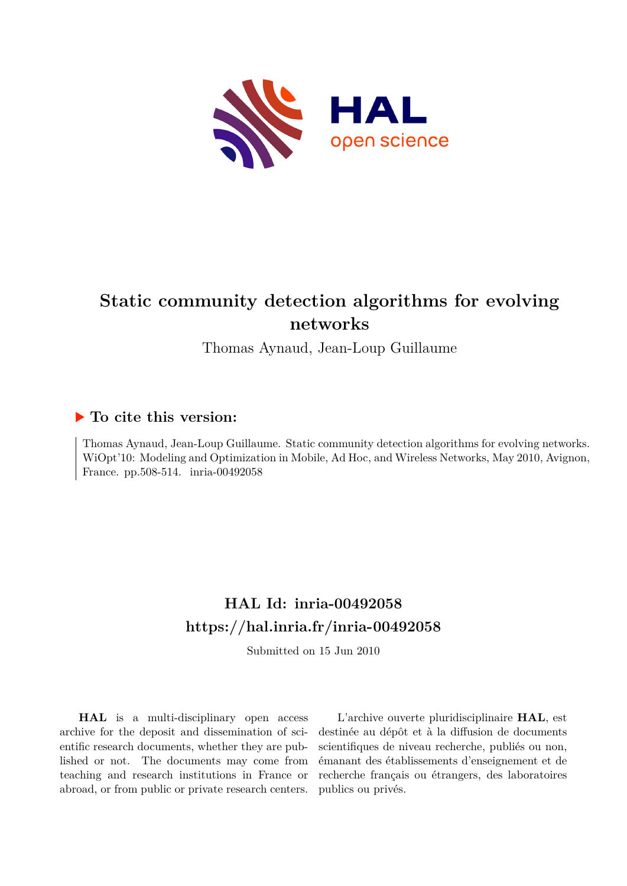

# **Static community detection algorithms for evolving networks**

Thomas Aynaud, Jean-Loup Guillaume

# **To cite this version:**

Thomas Aynaud, Jean-Loup Guillaume. Static community detection algorithms for evolving networks. WiOpt'10: Modeling and Optimization in Mobile, Ad Hoc, and Wireless Networks, May 2010, Avignon, France. pp.508-514. inria-00492058

# **HAL Id: inria-00492058 <https://hal.inria.fr/inria-00492058>**

Submitted on 15 Jun 2010

**HAL** is a multi-disciplinary open access archive for the deposit and dissemination of scientific research documents, whether they are published or not. The documents may come from teaching and research institutions in France or abroad, or from public or private research centers.

L'archive ouverte pluridisciplinaire **HAL**, est destinée au dépôt et à la diffusion de documents scientifiques de niveau recherche, publiés ou non, émanant des établissements d'enseignement et de recherche français ou étrangers, des laboratoires publics ou privés.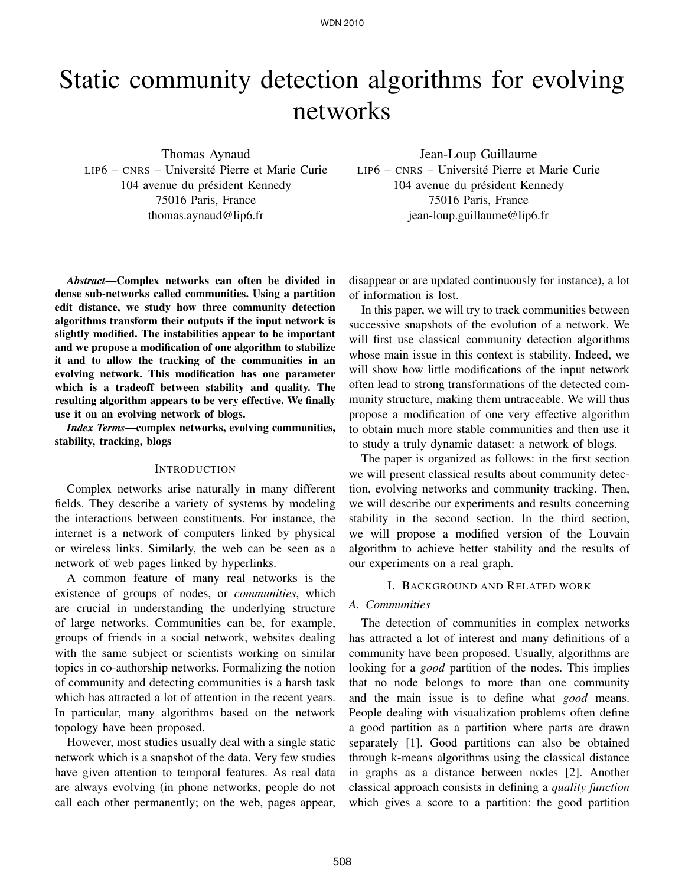# Static community detection algorithms for evolving networks

Thomas Aynaud LIP6 – CNRS – Université Pierre et Marie Curie 104 avenue du président Kennedy 75016 Paris, France thomas.aynaud@lip6.fr

*Abstract*—Complex networks can often be divided in dense sub-networks called communities. Using a partition edit distance, we study how three community detection algorithms transform their outputs if the input network is slightly modified. The instabilities appear to be important and we propose a modification of one algorithm to stabilize it and to allow the tracking of the communities in an evolving network. This modification has one parameter which is a tradeoff between stability and quality. The resulting algorithm appears to be very effective. We finally use it on an evolving network of blogs.

*Index Terms*—complex networks, evolving communities, stability, tracking, blogs

#### **INTRODUCTION**

Complex networks arise naturally in many different fields. They describe a variety of systems by modeling the interactions between constituents. For instance, the internet is a network of computers linked by physical or wireless links. Similarly, the web can be seen as a network of web pages linked by hyperlinks.

A common feature of many real networks is the existence of groups of nodes, or *communities*, which are crucial in understanding the underlying structure of large networks. Communities can be, for example, groups of friends in a social network, websites dealing with the same subject or scientists working on similar topics in co-authorship networks. Formalizing the notion of community and detecting communities is a harsh task which has attracted a lot of attention in the recent years. In particular, many algorithms based on the network topology have been proposed.

However, most studies usually deal with a single static network which is a snapshot of the data. Very few studies have given attention to temporal features. As real data are always evolving (in phone networks, people do not call each other permanently; on the web, pages appear,

Jean-Loup Guillaume LIP6 – CNRS – Université Pierre et Marie Curie 104 avenue du président Kennedy 75016 Paris, France jean-loup.guillaume@lip6.fr

disappear or are updated continuously for instance), a lot of information is lost.

In this paper, we will try to track communities between successive snapshots of the evolution of a network. We will first use classical community detection algorithms whose main issue in this context is stability. Indeed, we will show how little modifications of the input network often lead to strong transformations of the detected community structure, making them untraceable. We will thus propose a modification of one very effective algorithm to obtain much more stable communities and then use it to study a truly dynamic dataset: a network of blogs.

The paper is organized as follows: in the first section we will present classical results about community detection, evolving networks and community tracking. Then, we will describe our experiments and results concerning stability in the second section. In the third section, we will propose a modified version of the Louvain algorithm to achieve better stability and the results of our experiments on a real graph.

#### I. BACKGROUND AND RELATED WORK

#### *A. Communities*

The detection of communities in complex networks has attracted a lot of interest and many definitions of a community have been proposed. Usually, algorithms are looking for a *good* partition of the nodes. This implies that no node belongs to more than one community and the main issue is to define what *good* means. People dealing with visualization problems often define a good partition as a partition where parts are drawn separately [1]. Good partitions can also be obtained through k-means algorithms using the classical distance in graphs as a distance between nodes [2]. Another classical approach consists in defining a *quality function* which gives a score to a partition: the good partition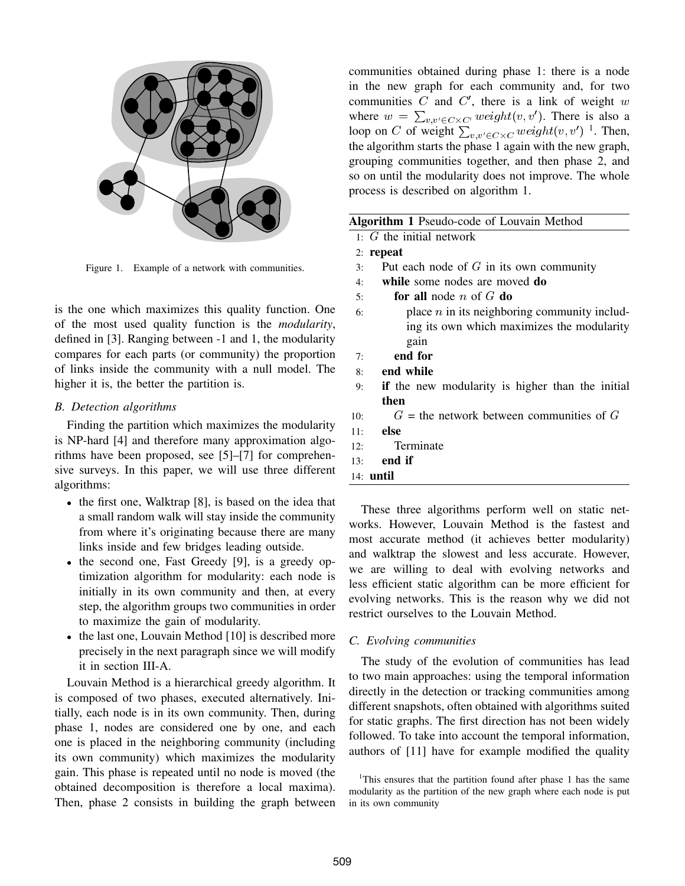

Figure 1. Example of a network with communities.

is the one which maximizes this quality function. One of the most used quality function is the *modularity*, defined in [3]. Ranging between -1 and 1, the modularity compares for each parts (or community) the proportion of links inside the community with a null model. The higher it is, the better the partition is.

## *B. Detection algorithms*

Finding the partition which maximizes the modularity is NP-hard [4] and therefore many approximation algorithms have been proposed, see [5]–[7] for comprehensive surveys. In this paper, we will use three different algorithms:

- the first one, Walktrap [8], is based on the idea that a small random walk will stay inside the community from where it's originating because there are many links inside and few bridges leading outside.
- the second one, Fast Greedy [9], is a greedy optimization algorithm for modularity: each node is initially in its own community and then, at every step, the algorithm groups two communities in order to maximize the gain of modularity.
- the last one, Louvain Method [10] is described more precisely in the next paragraph since we will modify it in section III-A.

Louvain Method is a hierarchical greedy algorithm. It is composed of two phases, executed alternatively. Initially, each node is in its own community. Then, during phase 1, nodes are considered one by one, and each one is placed in the neighboring community (including its own community) which maximizes the modularity gain. This phase is repeated until no node is moved (the obtained decomposition is therefore a local maxima). Then, phase 2 consists in building the graph between communities obtained during phase 1: there is a node in the new graph for each community and, for two communities  $C$  and  $C'$ , there is a link of weight  $w$ where  $w = \sum_{v,v' \in C \times C'} weight(v,v')$ . There is also a loop on C of weight  $\sum_{v,v'\in C\times C} weight(v,v')$ <sup>1</sup>. Then, the algorithm starts the phase 1 again with the new graph, grouping communities together, and then phase 2, and so on until the modularity does not improve. The whole process is described on algorithm 1.

| Algorithm 1 Pseudo-code of Louvain Method |  |
|-------------------------------------------|--|
| 1: $G$ the initial network                |  |
| $2:$ repeat                               |  |

- 3: Put each node of  $G$  in its own community
- 4: while some nodes are moved do
- 5: for all node  $n$  of  $G$  do
- 6: place  $n$  in its neighboring community including its own which maximizes the modularity gain
- 7: end for
- 8: end while
- 9: if the new modularity is higher than the initial then
- 10:  $G =$  the network between communities of G
- 11: else
- 12: Terminate
- 13: end if
- 14: until

These three algorithms perform well on static networks. However, Louvain Method is the fastest and most accurate method (it achieves better modularity) and walktrap the slowest and less accurate. However, we are willing to deal with evolving networks and less efficient static algorithm can be more efficient for evolving networks. This is the reason why we did not restrict ourselves to the Louvain Method.

# *C. Evolving communities*

The study of the evolution of communities has lead to two main approaches: using the temporal information directly in the detection or tracking communities among different snapshots, often obtained with algorithms suited for static graphs. The first direction has not been widely followed. To take into account the temporal information, authors of [11] have for example modified the quality

<sup>&</sup>lt;sup>1</sup>This ensures that the partition found after phase 1 has the same modularity as the partition of the new graph where each node is put in its own community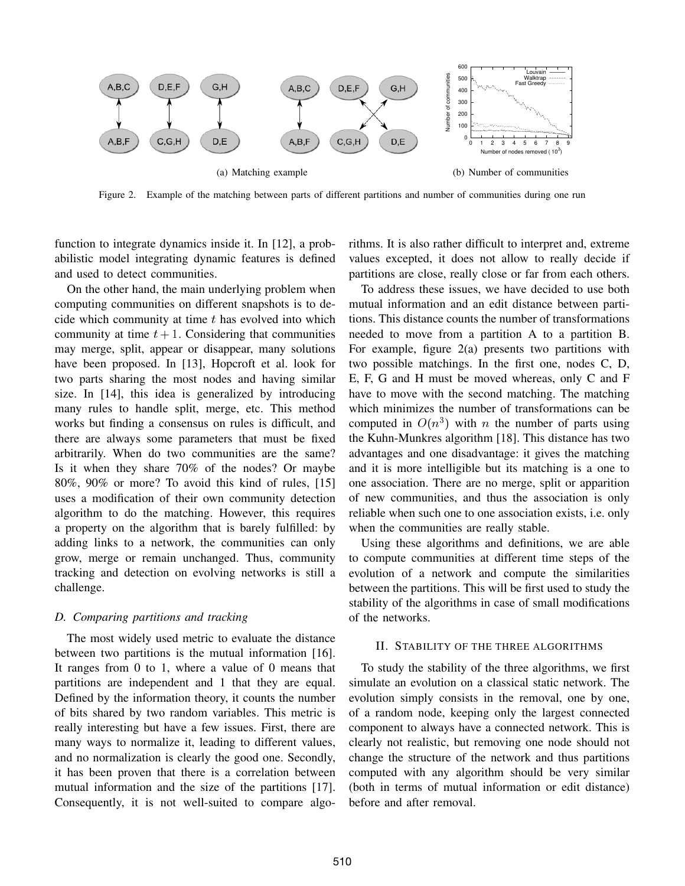

Figure 2. Example of the matching between parts of different partitions and number of communities during one run

function to integrate dynamics inside it. In [12], a probabilistic model integrating dynamic features is defined and used to detect communities.

On the other hand, the main underlying problem when computing communities on different snapshots is to decide which community at time  $t$  has evolved into which community at time  $t + 1$ . Considering that communities may merge, split, appear or disappear, many solutions have been proposed. In [13], Hopcroft et al. look for two parts sharing the most nodes and having similar size. In [14], this idea is generalized by introducing many rules to handle split, merge, etc. This method works but finding a consensus on rules is difficult, and there are always some parameters that must be fixed arbitrarily. When do two communities are the same? Is it when they share 70% of the nodes? Or maybe 80%, 90% or more? To avoid this kind of rules, [15] uses a modification of their own community detection algorithm to do the matching. However, this requires a property on the algorithm that is barely fulfilled: by adding links to a network, the communities can only grow, merge or remain unchanged. Thus, community tracking and detection on evolving networks is still a challenge.

#### *D. Comparing partitions and tracking*

The most widely used metric to evaluate the distance between two partitions is the mutual information [16]. It ranges from 0 to 1, where a value of 0 means that partitions are independent and 1 that they are equal. Defined by the information theory, it counts the number of bits shared by two random variables. This metric is really interesting but have a few issues. First, there are many ways to normalize it, leading to different values, and no normalization is clearly the good one. Secondly, it has been proven that there is a correlation between mutual information and the size of the partitions [17]. Consequently, it is not well-suited to compare algorithms. It is also rather difficult to interpret and, extreme values excepted, it does not allow to really decide if partitions are close, really close or far from each others.

To address these issues, we have decided to use both mutual information and an edit distance between partitions. This distance counts the number of transformations needed to move from a partition A to a partition B. For example, figure 2(a) presents two partitions with two possible matchings. In the first one, nodes C, D, E, F, G and H must be moved whereas, only C and F have to move with the second matching. The matching which minimizes the number of transformations can be computed in  $O(n^3)$  with *n* the number of parts using the Kuhn-Munkres algorithm [18]. This distance has two advantages and one disadvantage: it gives the matching and it is more intelligible but its matching is a one to one association. There are no merge, split or apparition of new communities, and thus the association is only reliable when such one to one association exists, i.e. only when the communities are really stable.

Using these algorithms and definitions, we are able to compute communities at different time steps of the evolution of a network and compute the similarities between the partitions. This will be first used to study the stability of the algorithms in case of small modifications of the networks.

#### II. STABILITY OF THE THREE ALGORITHMS

To study the stability of the three algorithms, we first simulate an evolution on a classical static network. The evolution simply consists in the removal, one by one, of a random node, keeping only the largest connected component to always have a connected network. This is clearly not realistic, but removing one node should not change the structure of the network and thus partitions computed with any algorithm should be very similar (both in terms of mutual information or edit distance) before and after removal.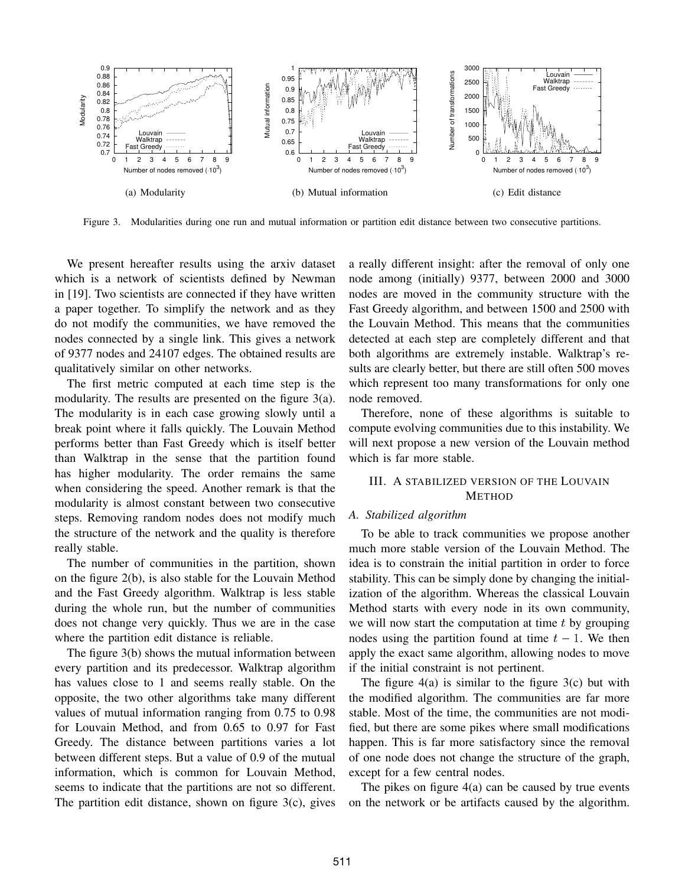

Figure 3. Modularities during one run and mutual information or partition edit distance between two consecutive partitions.

We present hereafter results using the arxiv dataset which is a network of scientists defined by Newman in [19]. Two scientists are connected if they have written a paper together. To simplify the network and as they do not modify the communities, we have removed the nodes connected by a single link. This gives a network of 9377 nodes and 24107 edges. The obtained results are qualitatively similar on other networks.

The first metric computed at each time step is the modularity. The results are presented on the figure 3(a). The modularity is in each case growing slowly until a break point where it falls quickly. The Louvain Method performs better than Fast Greedy which is itself better than Walktrap in the sense that the partition found has higher modularity. The order remains the same when considering the speed. Another remark is that the modularity is almost constant between two consecutive steps. Removing random nodes does not modify much the structure of the network and the quality is therefore really stable.

The number of communities in the partition, shown on the figure 2(b), is also stable for the Louvain Method and the Fast Greedy algorithm. Walktrap is less stable during the whole run, but the number of communities does not change very quickly. Thus we are in the case where the partition edit distance is reliable.

The figure 3(b) shows the mutual information between every partition and its predecessor. Walktrap algorithm has values close to 1 and seems really stable. On the opposite, the two other algorithms take many different values of mutual information ranging from 0.75 to 0.98 for Louvain Method, and from 0.65 to 0.97 for Fast Greedy. The distance between partitions varies a lot between different steps. But a value of 0.9 of the mutual information, which is common for Louvain Method, seems to indicate that the partitions are not so different. The partition edit distance, shown on figure 3(c), gives a really different insight: after the removal of only one node among (initially) 9377, between 2000 and 3000 nodes are moved in the community structure with the Fast Greedy algorithm, and between 1500 and 2500 with the Louvain Method. This means that the communities detected at each step are completely different and that both algorithms are extremely instable. Walktrap's results are clearly better, but there are still often 500 moves which represent too many transformations for only one node removed.

Therefore, none of these algorithms is suitable to compute evolving communities due to this instability. We will next propose a new version of the Louvain method which is far more stable.

# III. A STABILIZED VERSION OF THE LOUVAIN METHOD

## *A. Stabilized algorithm*

To be able to track communities we propose another much more stable version of the Louvain Method. The idea is to constrain the initial partition in order to force stability. This can be simply done by changing the initial-<br>ization of the algorithm. Whereas the classical Louvain<br>Method starts with every node in its own community,<br>we will now start the computation at time t by groupi ization of the algorithm. Whereas the classical Louvain Method starts with every node in its own community, we will now start the computation at time  $t$  by grouping apply the exact same algorithm, allowing nodes to move if the initial constraint is not pertinent.

The figure  $4(a)$  is similar to the figure  $3(c)$  but with the modified algorithm. The communities are far more stable. Most of the time, the communities are not modified, but there are some pikes where small modifications happen. This is far more satisfactory since the removal of one node does not change the structure of the graph, except for a few central nodes.

The pikes on figure  $4(a)$  can be caused by true events on the network or be artifacts caused by the algorithm.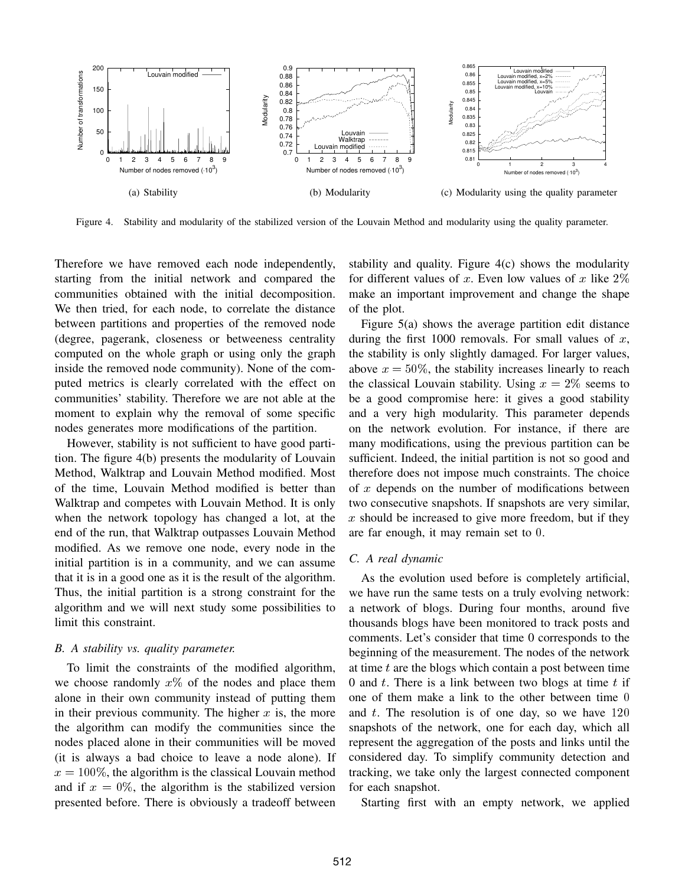

Figure 4. Stability and modularity of the stabilized version of the Louvain Method and modularity using the quality parameter.

Therefore we have removed each node independently, starting from the initial network and compared the communities obtained with the initial decomposition. We then tried, for each node, to correlate the distance between partitions and properties of the removed node (degree, pagerank, closeness or betweeness centrality computed on the whole graph or using only the graph inside the removed node community). None of the computed metrics is clearly correlated with the effect on communities' stability. Therefore we are not able at the moment to explain why the removal of some specific nodes generates more modifications of the partition.

However, stability is not sufficient to have good partition. The figure 4(b) presents the modularity of Louvain Method, Walktrap and Louvain Method modified. Most of the time, Louvain Method modified is better than Walktrap and competes with Louvain Method. It is only when the network topology has changed a lot, at the end of the run, that Walktrap outpasses Louvain Method modified. As we remove one node, every node in the initial partition is in a community, and we can assume that it is in a good one as it is the result of the algorithm. Thus, the initial partition is a strong constraint for the algorithm and we will next study some possibilities to limit this constraint.

#### *B. A stability vs. quality parameter.*

To limit the constraints of the modified algorithm, we choose randomly  $x\%$  of the nodes and place them alone in their own community instead of putting them in their previous community. The higher  $x$  is, the more the algorithm can modify the communities since the nodes placed alone in their communities will be moved (it is always a bad choice to leave a node alone). If  $x = 100\%$ , the algorithm is the classical Louvain method and if  $x = 0\%$ , the algorithm is the stabilized version presented before. There is obviously a tradeoff between

stability and quality. Figure 4(c) shows the modularity for different values of x. Even low values of x like  $2\%$ make an important improvement and change the shape of the plot.

Figure 5(a) shows the average partition edit distance during the first 1000 removals. For small values of  $x$ , the stability is only slightly damaged. For larger values, above  $x = 50\%$ , the stability increases linearly to reach the classical Louvain stability. Using  $x = 2\%$  seems to be a good compromise here: it gives a good stability and a very high modularity. This parameter depends on the network evolution. For instance, if there are many modifications, using the previous partition can be sufficient. Indeed, the initial partition is not so good and therefore does not impose much constraints. The choice of  $x$  depends on the number of modifications between two consecutive snapshots. If snapshots are very similar,  $x$  should be increased to give more freedom, but if they are far enough, it may remain set to 0.

# *C. A real dynamic*

As the evolution used before is completely artificial, we have run the same tests on a truly evolving network: a network of blogs. During four months, around five thousands blogs have been monitored to track posts and comments. Let's consider that time 0 corresponds to the beginning of the measurement. The nodes of the network at time  $t$  are the blogs which contain a post between time 0 and  $t$ . There is a link between two blogs at time  $t$  if one of them make a link to the other between time 0 and  $t$ . The resolution is of one day, so we have  $120$ snapshots of the network, one for each day, which all represent the aggregation of the posts and links until the considered day. To simplify community detection and tracking, we take only the largest connected component for each snapshot.

Starting first with an empty network, we applied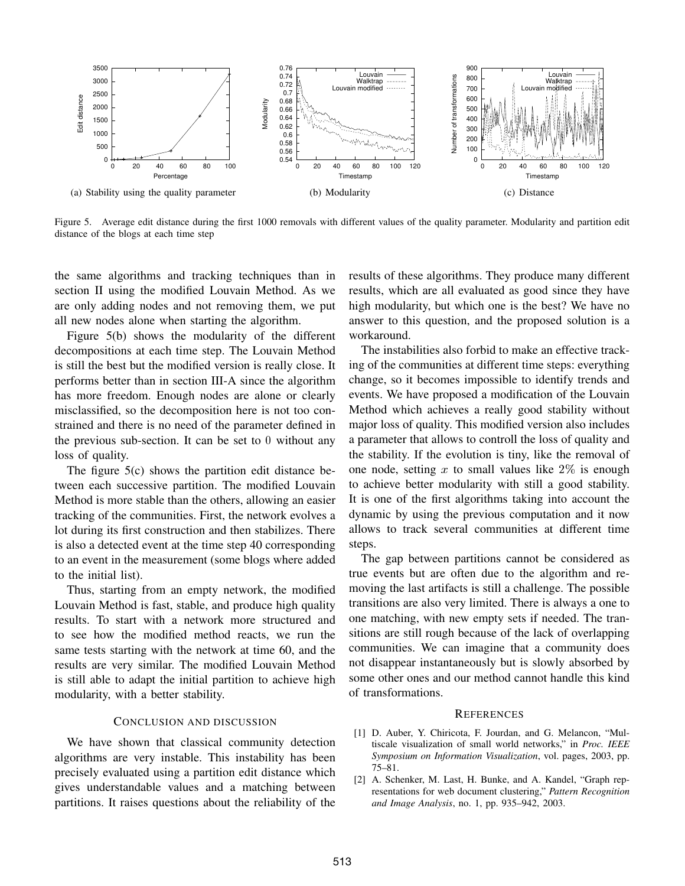

Figure 5. Average edit distance during the first 1000 removals with different values of the quality parameter. Modularity and partition edit distance of the blogs at each time step

the same algorithms and tracking techniques than in section II using the modified Louvain Method. As we are only adding nodes and not removing them, we put all new nodes alone when starting the algorithm.

Figure 5(b) shows the modularity of the different decompositions at each time step. The Louvain Method is still the best but the modified version is really close. It performs better than in section III-A since the algorithm has more freedom. Enough nodes are alone or clearly misclassified, so the decomposition here is not too constrained and there is no need of the parameter defined in the previous sub-section. It can be set to 0 without any loss of quality.

The figure 5(c) shows the partition edit distance between each successive partition. The modified Louvain Method is more stable than the others, allowing an easier tracking of the communities. First, the network evolves a lot during its first construction and then stabilizes. There is also a detected event at the time step 40 corresponding to an event in the measurement (some blogs where added to the initial list).

Thus, starting from an empty network, the modified Louvain Method is fast, stable, and produce high quality results. To start with a network more structured and to see how the modified method reacts, we run the same tests starting with the network at time 60, and the results are very similar. The modified Louvain Method is still able to adapt the initial partition to achieve high modularity, with a better stability.

## CONCLUSION AND DISCUSSION

We have shown that classical community detection algorithms are very instable. This instability has been precisely evaluated using a partition edit distance which gives understandable values and a matching between partitions. It raises questions about the reliability of the results of these algorithms. They produce many different results, which are all evaluated as good since they have high modularity, but which one is the best? We have no answer to this question, and the proposed solution is a workaround.

The instabilities also forbid to make an effective tracking of the communities at different time steps: everything change, so it becomes impossible to identify trends and events. We have proposed a modification of the Louvain Method which achieves a really good stability without major loss of quality. This modified version also includes a parameter that allows to controll the loss of quality and the stability. If the evolution is tiny, like the removal of one node, setting x to small values like  $2\%$  is enough to achieve better modularity with still a good stability. It is one of the first algorithms taking into account the dynamic by using the previous computation and it now allows to track several communities at different time steps.

The gap between partitions cannot be considered as true events but are often due to the algorithm and removing the last artifacts is still a challenge. The possible transitions are also very limited. There is always a one to one matching, with new empty sets if needed. The transitions are still rough because of the lack of overlapping communities. We can imagine that a community does not disappear instantaneously but is slowly absorbed by some other ones and our method cannot handle this kind of transformations.

#### **REFERENCES**

- [1] D. Auber, Y. Chiricota, F. Jourdan, and G. Melancon, "Multiscale visualization of small world networks," in *Proc. IEEE Symposium on Information Visualization*, vol. pages, 2003, pp. 75–81.
- [2] A. Schenker, M. Last, H. Bunke, and A. Kandel, "Graph representations for web document clustering," *Pattern Recognition and Image Analysis*, no. 1, pp. 935–942, 2003.